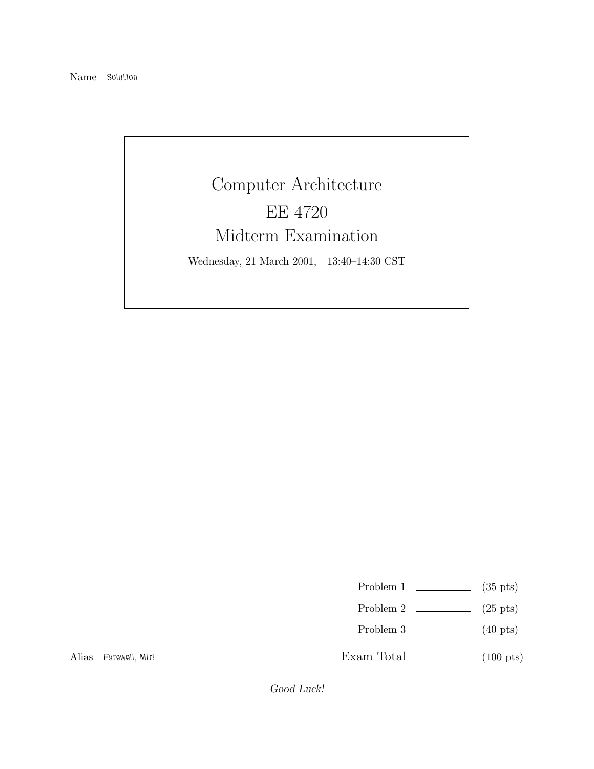## Computer Architecture EE 4720 Midterm Examination Wednesday, 21 March 2001, 13:40–14:30 CST

Problem 1  $\qquad \qquad$  (35 pts)

- Problem 2  $\qquad \qquad$  (25 pts)
- Problem 3 (40 pts)

Alias *Farewell, Mir!*

Exam Total  $\qquad \qquad$  (100 pts)

Good Luck!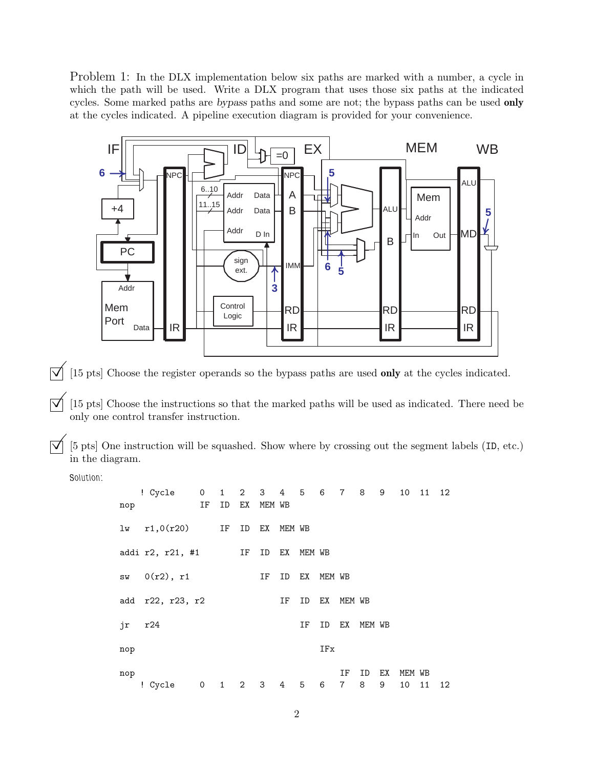Problem 1: In the DLX implementation below six paths are marked with a number, a cycle in which the path will be used. Write a DLX program that uses those six paths at the indicated cycles. Some marked paths are bypass paths and some are not; the bypass paths can be used **only** at the cycles indicated. A pipeline execution diagram is provided for your convenience.



 $[\sqrt{\sqrt{2}}]$  [15 pts] Choose the register operands so the bypass paths are used **only** at the cycles indicated.

 $\overrightarrow{\mathsf{q}}$  [15 pts] Choose the instructions so that the marked paths will be used as indicated. There need be only one control transfer instruction.

 $\overline{\triangledown}$  [5 pts] One instruction will be squashed. Show where by crossing out the segment labels (ID, etc.) in the diagram.

*Solution:*

| nop | ! Cycle                        | 0<br>IF | ID | EX | MEM WB |        | 1 2 3 4 5 6 7 8 9 |           |           |        |    |        | 10 11 12 |    |
|-----|--------------------------------|---------|----|----|--------|--------|-------------------|-----------|-----------|--------|----|--------|----------|----|
|     | $\text{lw}$ r1,0(r20) IF ID EX |         |    |    |        | MEM WB |                   |           |           |        |    |        |          |    |
|     | addi r2, r21, #1               |         |    | IF | ID     | EХ     | MEM WB            |           |           |        |    |        |          |    |
|     | sw 0(r2), r1                   |         |    |    | ΙF     | ID     |                   | EX MEM WB |           |        |    |        |          |    |
|     | add r22, r23, r2               |         |    |    |        | ΙF     | ID                |           | EX MEM WB |        |    |        |          |    |
| jr  | r24                            |         |    |    |        |        | ΙF                | ID        | EX        | MEM WB |    |        |          |    |
| nop |                                |         |    |    |        |        |                   | IFx       |           |        |    |        |          |    |
| nop |                                |         |    |    |        |        |                   |           | IF        | ID     | EХ | MEM WB |          |    |
|     | ! Cycle 0                      |         |    |    |        |        | 1 2 3 4 5 6       |           | 7         | 8      | 9  | 10     | 11       | 12 |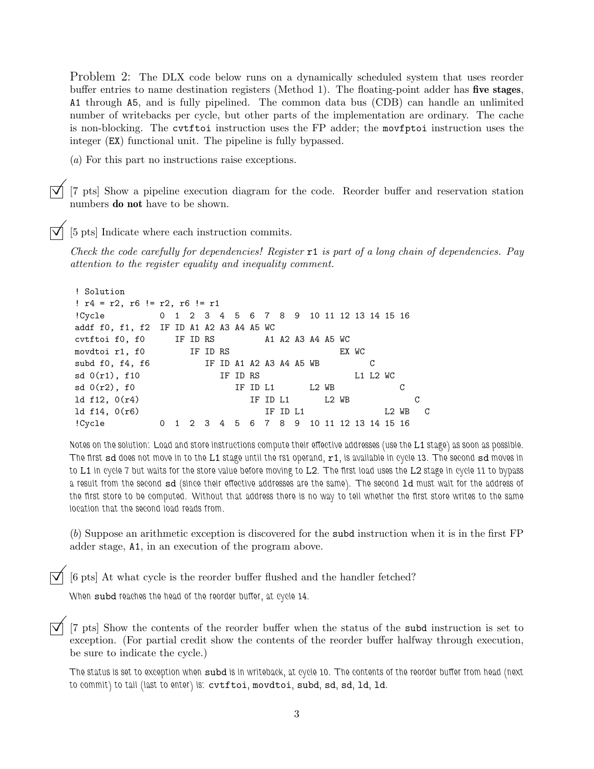Problem 2: The DLX code below runs on a dynamically scheduled system that uses reorder buffer entries to name destination registers (Method 1). The floating-point adder has **five stages**, A1 through A5, and is fully pipelined. The common data bus (CDB) can handle an unlimited number of writebacks per cycle, but other parts of the implementation are ordinary. The cache is non-blocking. The cvtftoi instruction uses the FP adder; the movfptoi instruction uses the integer (EX) functional unit. The pipeline is fully bypassed.

(*a*) For this part no instructions raise exceptions.

©[7 pts] Show a pipeline execution diagram for the code. Reorder buffer and reservation station numbers **do not** have to be shown.

©[5 pts] Indicate where each instruction commits.

*Check the code carefully for dependencies! Register* r1 *is part of a long chain of dependencies. Pay attention to the register equality and inequality comment.*

```
! Solution
! r4 = r2, r6 != r2, r6 != r1
!Cycle 0 1 2 3 4 5 6 7 8 9 10 11 12 13 14 15 16
addf f0, f1, f2 IF ID A1 A2 A3 A4 A5 WC
cvtftoi f0, f0 IF ID RS A1 A2 A3 A4 A5 WC
movdtoi r1, f0 IF ID RS EX WC
subd f0, f4, f6 IF ID A1 A2 A3 A4 A5 WB C
sd 0(r1), f10 IF ID RS L1 L2 WC
sd \space 0(r2), f0 IF ID L1 L2 WB C
1d f12, 0(r4) IF ID L1 L2 WB C
1d f14, 0(r6) TF ID L1 L2 WB C
!Cycle 0 1 2 3 4 5 6 7 8 9 10 11 12 13 14 15 16
```
*Notes on the solution: Load and store instructions compute their effective addresses (use the* L1 *stage) as soon as possible. The first* sd *does not move in to the* L1 *stage until the rs1 operand,* r1*, is available in cycle 13. The second* sd *moves in to* L1 *in cycle 7 but waits for the store value before moving to* L2*. The first load uses the* L2 *stage in cycle 11 to bypass a result from the second* sd *(since their effective addresses are the same). The second* ld *must wait for the address of the first store to be computed. Without that address there is no way to tell whether the first store writes to the same location that the second load reads from.*

(*b*) Suppose an arithmetic exception is discovered for the subd instruction when it is in the first FP adder stage, A1, in an execution of the program above.

[6 pts] At what cycle is the reorder buffer flushed and the handler fetched?

*When* subd *reaches the head of the reorder buffer, at cycle 14.*

 $\overline{|\mathcal{V}|}$  [7 pts] Show the contents of the reorder buffer when the status of the subd instruction is set to exception. (For partial credit show the contents of the reorder buffer halfway through execution, be sure to indicate the cycle.)

*The status is set to exception when* subd *is in writeback, at cycle 10. The contents of the reorder buffer from head (next to commit) to tail (last to enter) is:* cvtftoi*,* movdtoi*,* subd*,* sd*,* sd*,* ld*,* ld*.*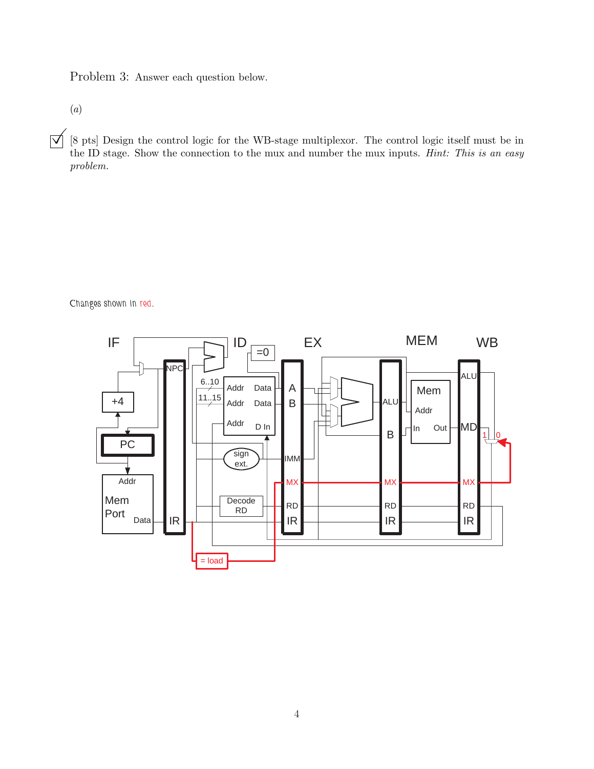Problem 3: Answer each question below.

(*a*)

 $\overline{S}$  [8 pts] Design the control logic for the WB-stage multiplexor. The control logic itself must be in the ID stage. Show the connection to the mux and number the mux inputs. *Hint: This is an easy problem.*

*Changes shown in red.*

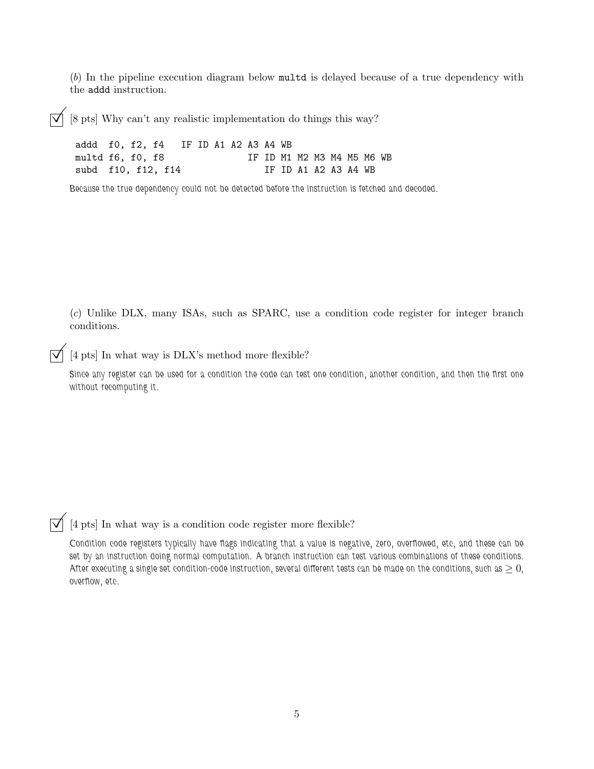(*b*) In the pipeline execution diagram below multd is delayed because of a true dependency with the addd instruction.

 $\overline{\bigvee}$  [8 pts] Why can't any realistic implementation do things this way?

addd f0, f2, f4 IF ID A1 A2 A3 A4 WB multd f6, f0, f8 IF ID M1 M2 M3 M4 M5 M6 WB subd f10, f12, f14 IF ID A1 A2 A3 A4 WB

*Because the true dependency could not be detected before the instruction is fetched and decoded.*

(*c*) Unlike DLX, many ISAs, such as SPARC, use a condition code register for integer branch conditions.

 $[4\ \mathrm{pts}]$  In what way is DLX's method more flexible?

*Since any register can be used for a condition the code can test one condition, another condition, and then the first one without recomputing it.*

 $\overline{\bigtriangledown}$  [4 pts] In what way is a condition code register more flexible?

*Condition code registers typically have flags indicating that a value is negative, zero, overflowed, etc, and these can be set by an instruction doing normal computation. A branch instruction can test various combinations of these conditions. After executing a single set condition-code instruction, several different tests can be made on the conditions, such as*  $\geq 0$ *, overflow, etc.*